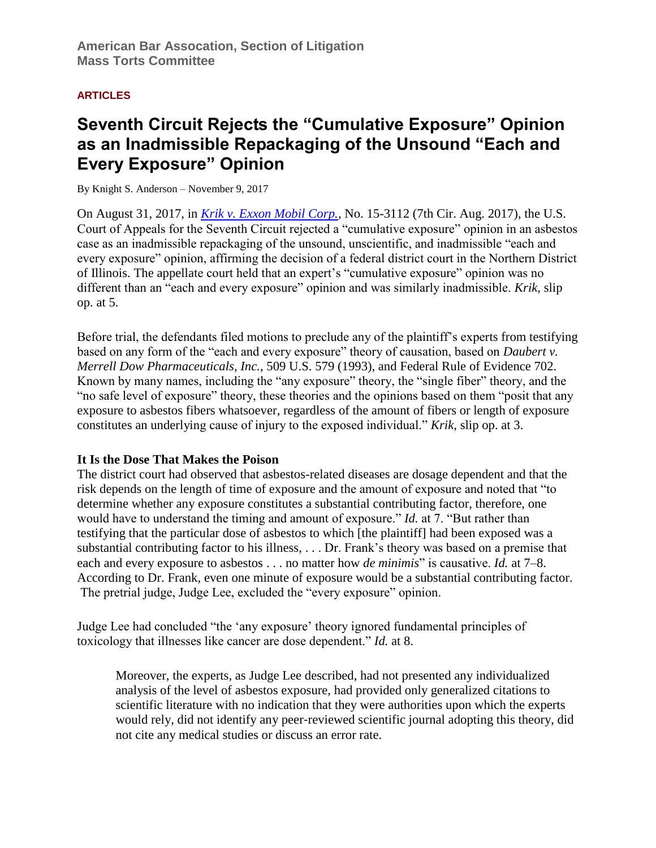## **ARTICLES**

# **Seventh Circuit Rejects the "Cumulative Exposure" Opinion as an Inadmissible Repackaging of the Unsound "Each and Every Exposure" Opinion**

By Knight S. Anderson – November 9, 2017

On August 31, 2017, in *[Krik v. Exxon Mobil Corp.](https://cases.justia.com/federal/appellate-courts/ca7/15-3112/15-3112-2017-08-31.pdf?ts=1504209673)*, No. 15-3112 (7th Cir. Aug. 2017), the U.S. Court of Appeals for the Seventh Circuit rejected a "cumulative exposure" opinion in an asbestos case as an inadmissible repackaging of the unsound, unscientific, and inadmissible "each and every exposure" opinion, affirming the decision of a federal district court in the Northern District of Illinois. The appellate court held that an expert's "cumulative exposure" opinion was no different than an "each and every exposure" opinion and was similarly inadmissible. *Krik*, slip op. at 5.

Before trial, the defendants filed motions to preclude any of the plaintiff's experts from testifying based on any form of the "each and every exposure" theory of causation, based on *Daubert v. Merrell Dow Pharmaceuticals, Inc.*, 509 U.S. 579 (1993), and Federal Rule of Evidence 702. Known by many names, including the "any exposure" theory, the "single fiber" theory, and the "no safe level of exposure" theory, these theories and the opinions based on them "posit that any exposure to asbestos fibers whatsoever, regardless of the amount of fibers or length of exposure constitutes an underlying cause of injury to the exposed individual." *Krik*, slip op. at 3.

# **It Is the Dose That Makes the Poison**

The district court had observed that asbestos-related diseases are dosage dependent and that the risk depends on the length of time of exposure and the amount of exposure and noted that "to determine whether any exposure constitutes a substantial contributing factor, therefore, one would have to understand the timing and amount of exposure." *Id.* at 7. "But rather than testifying that the particular dose of asbestos to which [the plaintiff] had been exposed was a substantial contributing factor to his illness, . . . Dr. Frank's theory was based on a premise that each and every exposure to asbestos . . . no matter how *de minimis*" is causative. *Id.* at 7–8. According to Dr. Frank, even one minute of exposure would be a substantial contributing factor. The pretrial judge, Judge Lee, excluded the "every exposure" opinion.

Judge Lee had concluded "the 'any exposure' theory ignored fundamental principles of toxicology that illnesses like cancer are dose dependent." *Id.* at 8.

Moreover, the experts, as Judge Lee described, had not presented any individualized analysis of the level of asbestos exposure, had provided only generalized citations to scientific literature with no indication that they were authorities upon which the experts would rely, did not identify any peer-reviewed scientific journal adopting this theory, did not cite any medical studies or discuss an error rate.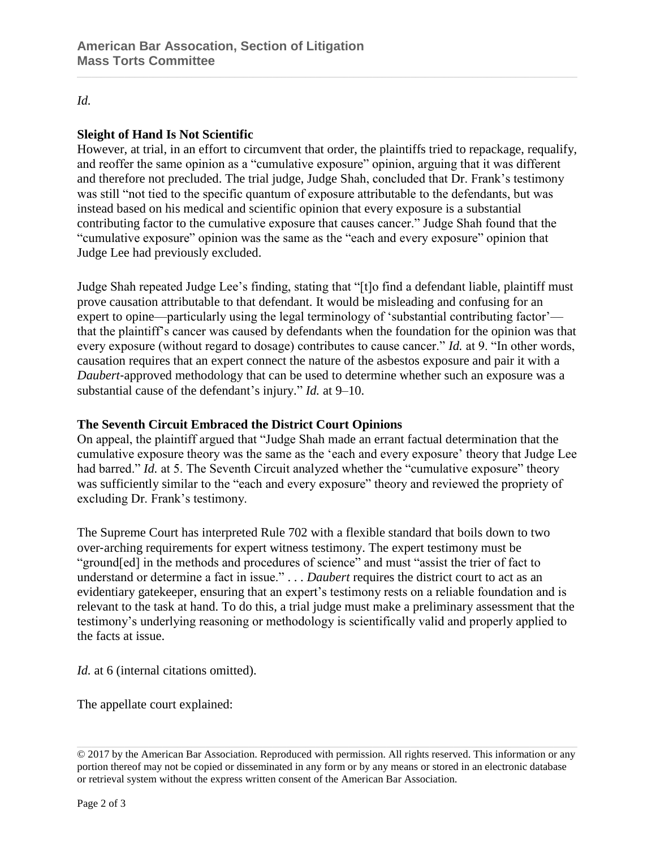#### *Id.*

## **Sleight of Hand Is Not Scientific**

However, at trial, in an effort to circumvent that order, the plaintiffs tried to repackage, requalify, and reoffer the same opinion as a "cumulative exposure" opinion, arguing that it was different and therefore not precluded. The trial judge, Judge Shah, concluded that Dr. Frank's testimony was still "not tied to the specific quantum of exposure attributable to the defendants, but was instead based on his medical and scientific opinion that every exposure is a substantial contributing factor to the cumulative exposure that causes cancer." Judge Shah found that the "cumulative exposure" opinion was the same as the "each and every exposure" opinion that Judge Lee had previously excluded.

Judge Shah repeated Judge Lee's finding, stating that "[t]o find a defendant liable, plaintiff must prove causation attributable to that defendant. It would be misleading and confusing for an expert to opine—particularly using the legal terminology of 'substantial contributing factor' that the plaintiff's cancer was caused by defendants when the foundation for the opinion was that every exposure (without regard to dosage) contributes to cause cancer." *Id.* at 9. "In other words, causation requires that an expert connect the nature of the asbestos exposure and pair it with a *Daubert*‐approved methodology that can be used to determine whether such an exposure was a substantial cause of the defendant's injury." *Id.* at 9–10.

#### **The Seventh Circuit Embraced the District Court Opinions**

On appeal, the plaintiff argued that "Judge Shah made an errant factual determination that the cumulative exposure theory was the same as the 'each and every exposure' theory that Judge Lee had barred." *Id.* at 5. The Seventh Circuit analyzed whether the "cumulative exposure" theory was sufficiently similar to the "each and every exposure" theory and reviewed the propriety of excluding Dr. Frank's testimony.

The Supreme Court has interpreted Rule 702 with a flexible standard that boils down to two over‐arching requirements for expert witness testimony. The expert testimony must be "ground[ed] in the methods and procedures of science" and must "assist the trier of fact to understand or determine a fact in issue." . . . *Daubert* requires the district court to act as an evidentiary gatekeeper, ensuring that an expert's testimony rests on a reliable foundation and is relevant to the task at hand. To do this, a trial judge must make a preliminary assessment that the testimony's underlying reasoning or methodology is scientifically valid and properly applied to the facts at issue.

*Id.* at 6 (internal citations omitted).

The appellate court explained:

<sup>© 2017</sup> by the American Bar Association. Reproduced with permission. All rights reserved. This information or any portion thereof may not be copied or disseminated in any form or by any means or stored in an electronic database or retrieval system without the express written consent of the American Bar Association.